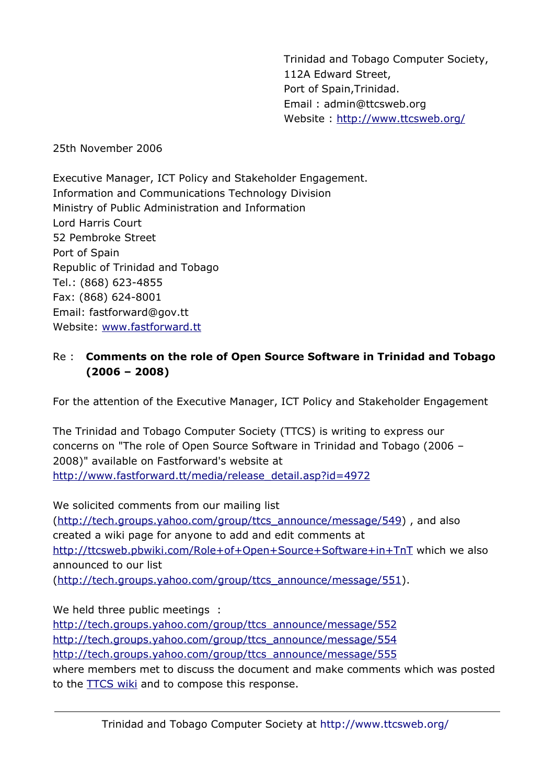Trinidad and Tobago Computer Society, 112A Edward Street, Port of Spain,Trinidad. Email : admin@ttcsweb.org Website : <http://www.ttcsweb.org/>

25th November 2006

Executive Manager, ICT Policy and Stakeholder Engagement. Information and Communications Technology Division Ministry of Public Administration and Information Lord Harris Court 52 Pembroke Street Port of Spain Republic of Trinidad and Tobago Tel.: (868) 623-4855 Fax: (868) 624-8001 Email: fastforward@gov.tt Website: [www.fastforward.tt](http://www.fastforward.tt/)

### Re : **Comments on the role of Open Source Software in Trinidad and Tobago (2006 – 2008)**

For the attention of the Executive Manager, ICT Policy and Stakeholder Engagement

The Trinidad and Tobago Computer Society (TTCS) is writing to express our concerns on "The role of Open Source Software in Trinidad and Tobago (2006 – 2008)" available on Fastforward's website at [http://www.fastforward.tt/media/release\\_detail.asp?id=4972](http://www.fastforward.tt/media/release_detail.asp?id=4972)

We solicited comments from our mailing list ([http://tech.groups.yahoo.com/group/ttcs\\_announce/message/549](http://tech.groups.yahoo.com/group/ttcs_announce/message/549)) , and also created a wiki page for anyone to add and edit comments at <http://ttcsweb.pbwiki.com/Role+of+Open+Source+Software+in+TnT> which we also announced to our list ([http://tech.groups.yahoo.com/group/ttcs\\_announce/message/551](http://tech.groups.yahoo.com/group/ttcs_announce/message/551)).

We held three public meetings :

[http://tech.groups.yahoo.com/group/ttcs\\_announce/message/552](http://tech.groups.yahoo.com/group/ttcs_announce/message/552) [http://tech.groups.yahoo.com/group/ttcs\\_announce/message/554](http://tech.groups.yahoo.com/group/ttcs_announce/message/554) [http://tech.groups.yahoo.com/group/ttcs\\_announce/message/555](http://tech.groups.yahoo.com/group/ttcs_announce/message/555) where members met to discuss the document and make comments which was posted to the **TTCS** wiki and to compose this response.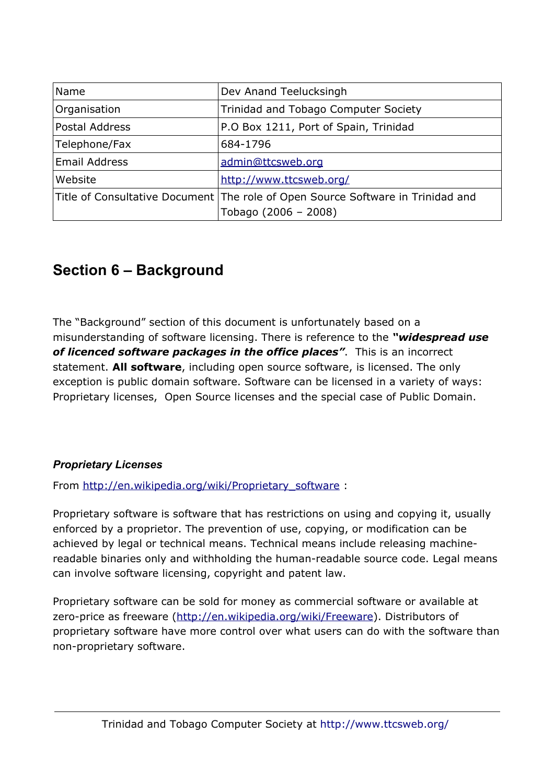| Name                 | Dev Anand Teelucksingh                                                          |
|----------------------|---------------------------------------------------------------------------------|
| Organisation         | Trinidad and Tobago Computer Society                                            |
| Postal Address       | P.O Box 1211, Port of Spain, Trinidad                                           |
| Telephone/Fax        | 684-1796                                                                        |
| <b>Email Address</b> | admin@ttcsweb.org                                                               |
| Website              | http://www.ttcsweb.org/                                                         |
|                      | Title of Consultative Document The role of Open Source Software in Trinidad and |
|                      | Tobago (2006 - 2008)                                                            |

# **Section 6 – Background**

The "Background" section of this document is unfortunately based on a misunderstanding of software licensing. There is reference to the *"widespread use of licenced software packages in the office places"*. This is an incorrect statement. **All software**, including open source software, is licensed. The only exception is public domain software. Software can be licensed in a variety of ways: Proprietary licenses, Open Source licenses and the special case of Public Domain.

### *Proprietary Licenses*

From [http://en.wikipedia.org/wiki/Proprietary\\_software](http://en.wikipedia.org/wiki/Proprietary_software) :

Proprietary software is software that has restrictions on using and copying it, usually enforced by a proprietor. The prevention of use, copying, or modification can be achieved by legal or technical means. Technical means include releasing machinereadable binaries only and withholding the human-readable source code. Legal means can involve software licensing, copyright and patent law.

Proprietary software can be sold for money as commercial software or available at zero-price as freeware ([http://en.wikipedia.org/wiki/Freeware\)](http://en.wikipedia.org/wiki/Freeware). Distributors of proprietary software have more control over what users can do with the software than non-proprietary software.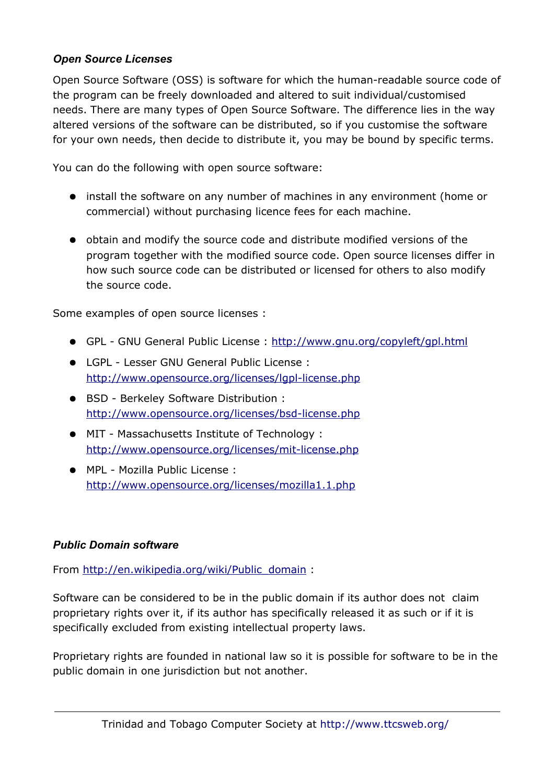#### *Open Source Licenses*

Open Source Software (OSS) is software for which the human-readable source code of the program can be freely downloaded and altered to suit individual/customised needs. There are many types of Open Source Software. The difference lies in the way altered versions of the software can be distributed, so if you customise the software for your own needs, then decide to distribute it, you may be bound by specific terms.

You can do the following with open source software:

- install the software on any number of machines in any environment (home or commercial) without purchasing licence fees for each machine.
- obtain and modify the source code and distribute modified versions of the program together with the modified source code. Open source licenses differ in how such source code can be distributed or licensed for others to also modify the source code.

Some examples of open source licenses :

- GPL GNU General Public License : <http://www.gnu.org/copyleft/gpl.html>
- LGPL Lesser GNU General Public License : <http://www.opensource.org/licenses/lgpl-license.php>
- BSD Berkeley Software Distribution : <http://www.opensource.org/licenses/bsd-license.php>
- MIT Massachusetts Institute of Technology : <http://www.opensource.org/licenses/mit-license.php>
- MPL Mozilla Public License : <http://www.opensource.org/licenses/mozilla1.1.php>

#### *Public Domain software*

From [http://en.wikipedia.org/wiki/Public\\_domain](http://en.wikipedia.org/wiki/Public_domain) :

Software can be considered to be in the public domain if its author does not claim proprietary rights over it, if its author has specifically released it as such or if it is specifically excluded from existing intellectual property laws.

Proprietary rights are founded in national law so it is possible for software to be in the public domain in one jurisdiction but not another.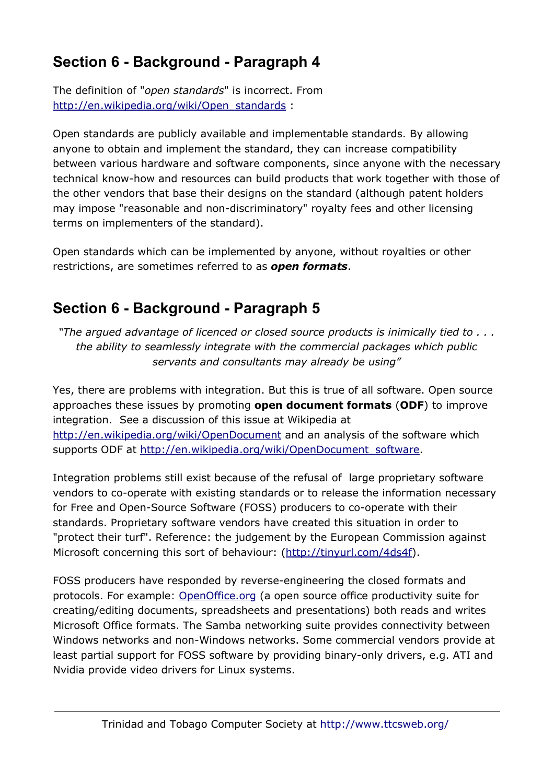# **Section 6 - Background - Paragraph 4**

The definition of "*open standards*" is incorrect. From [http://en.wikipedia.org/wiki/Open\\_standards](http://en.wikipedia.org/wiki/Open_standards) :

Open standards are publicly available and implementable standards. By allowing anyone to obtain and implement the standard, they can increase compatibility between various hardware and software components, since anyone with the necessary technical know-how and resources can build products that work together with those of the other vendors that base their designs on the standard (although patent holders may impose "reasonable and non-discriminatory" royalty fees and other licensing terms on implementers of the standard).

Open standards which can be implemented by anyone, without royalties or other restrictions, are sometimes referred to as *open formats*.

## **Section 6 - Background - Paragraph 5**

*"The argued advantage of licenced or closed source products is inimically tied to . . . the ability to seamlessly integrate with the commercial packages which public servants and consultants may already be using"*

Yes, there are problems with integration. But this is true of all software. Open source approaches these issues by promoting **open document formats** (**ODF**) to improve integration. See a discussion of this issue at Wikipedia at <http://en.wikipedia.org/wiki/OpenDocument> and an analysis of the software which supports ODF at [http://en.wikipedia.org/wiki/OpenDocument\\_software.](http://en.wikipedia.org/wiki/OpenDocument_software)

Integration problems still exist because of the refusal of large proprietary software vendors to co-operate with existing standards or to release the information necessary for Free and Open-Source Software (FOSS) producers to co-operate with their standards. Proprietary software vendors have created this situation in order to "protect their turf". Reference: the judgement by the European Commission against Microsoft concerning this sort of behaviour: (<http://tinyurl.com/4ds4f>).

FOSS producers have responded by reverse-engineering the closed formats and protocols. For example: [OpenOffice.org](http://www.openoffice.org/) (a open source office productivity suite for creating/editing documents, spreadsheets and presentations) both reads and writes Microsoft Office formats. The Samba networking suite provides connectivity between Windows networks and non-Windows networks. Some commercial vendors provide at least partial support for FOSS software by providing binary-only drivers, e.g. ATI and Nvidia provide video drivers for Linux systems.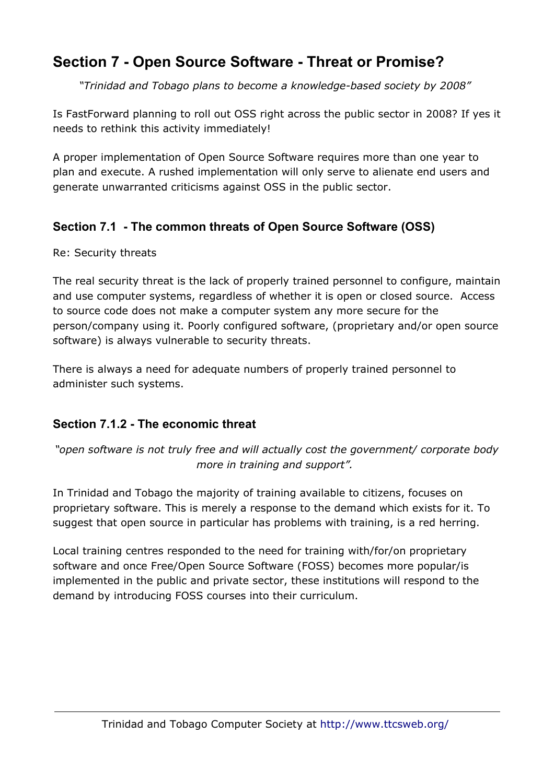## **Section 7 - Open Source Software - Threat or Promise?**

*"Trinidad and Tobago plans to become a knowledge-based society by 2008"* 

Is FastForward planning to roll out OSS right across the public sector in 2008? If yes it needs to rethink this activity immediately!

A proper implementation of Open Source Software requires more than one year to plan and execute. A rushed implementation will only serve to alienate end users and generate unwarranted criticisms against OSS in the public sector.

### **Section 7.1 - The common threats of Open Source Software (OSS)**

Re: Security threats

The real security threat is the lack of properly trained personnel to configure, maintain and use computer systems, regardless of whether it is open or closed source. Access to source code does not make a computer system any more secure for the person/company using it. Poorly configured software, (proprietary and/or open source software) is always vulnerable to security threats.

There is always a need for adequate numbers of properly trained personnel to administer such systems.

### **Section 7.1.2 - The economic threat**

*"open software is not truly free and will actually cost the government/ corporate body more in training and support".* 

In Trinidad and Tobago the majority of training available to citizens, focuses on proprietary software. This is merely a response to the demand which exists for it. To suggest that open source in particular has problems with training, is a red herring.

Local training centres responded to the need for training with/for/on proprietary software and once Free/Open Source Software (FOSS) becomes more popular/is implemented in the public and private sector, these institutions will respond to the demand by introducing FOSS courses into their curriculum.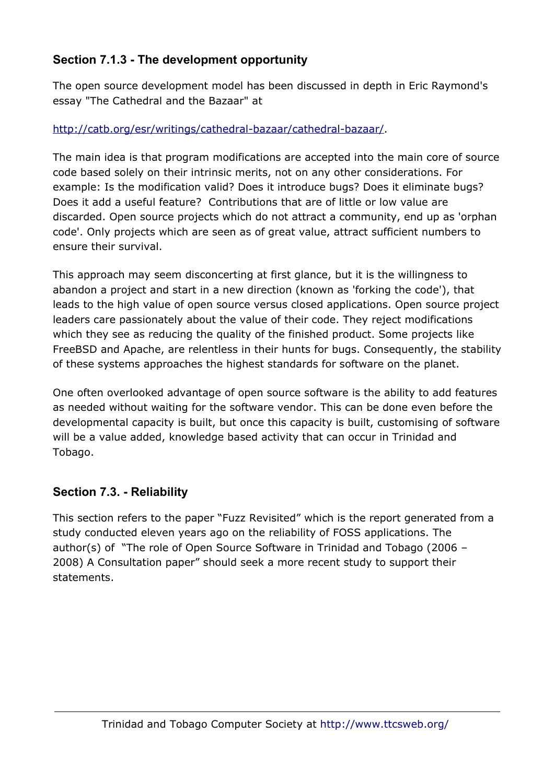### **Section 7.1.3 - The development opportunity**

The open source development model has been discussed in depth in Eric Raymond's essay "The Cathedral and the Bazaar" at

### <http://catb.org/esr/writings/cathedral-bazaar/cathedral-bazaar/>.

The main idea is that program modifications are accepted into the main core of source code based solely on their intrinsic merits, not on any other considerations. For example: Is the modification valid? Does it introduce bugs? Does it eliminate bugs? Does it add a useful feature? Contributions that are of little or low value are discarded. Open source projects which do not attract a community, end up as 'orphan code'. Only projects which are seen as of great value, attract sufficient numbers to ensure their survival.

This approach may seem disconcerting at first glance, but it is the willingness to abandon a project and start in a new direction (known as 'forking the code'), that leads to the high value of open source versus closed applications. Open source project leaders care passionately about the value of their code. They reject modifications which they see as reducing the quality of the finished product. Some projects like FreeBSD and Apache, are relentless in their hunts for bugs. Consequently, the stability of these systems approaches the highest standards for software on the planet.

One often overlooked advantage of open source software is the ability to add features as needed without waiting for the software vendor. This can be done even before the developmental capacity is built, but once this capacity is built, customising of software will be a value added, knowledge based activity that can occur in Trinidad and Tobago.

### **Section 7.3. - Reliability**

This section refers to the paper "Fuzz Revisited" which is the report generated from a study conducted eleven years ago on the reliability of FOSS applications. The author(s) of "The role of Open Source Software in Trinidad and Tobago (2006 – 2008) A Consultation paper" should seek a more recent study to support their statements.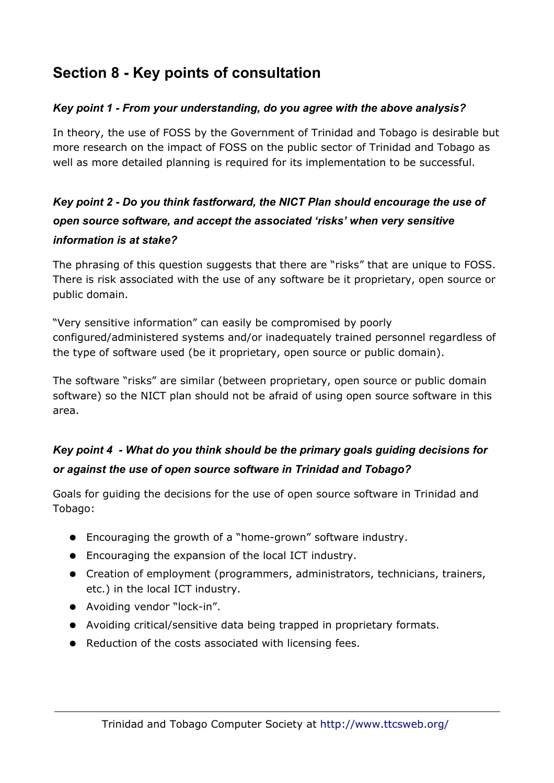# **Section 8 - Key points of consultation**

### *Key point 1 - From your understanding, do you agree with the above analysis?*

In theory, the use of FOSS by the Government of Trinidad and Tobago is desirable but more research on the impact of FOSS on the public sector of Trinidad and Tobago as well as more detailed planning is required for its implementation to be successful.

## *Key point 2 - Do you think fastforward, the NICT Plan should encourage the use of open source software, and accept the associated 'risks' when very sensitive information is at stake?*

The phrasing of this question suggests that there are "risks" that are unique to FOSS. There is risk associated with the use of any software be it proprietary, open source or public domain.

"Very sensitive information" can easily be compromised by poorly configured/administered systems and/or inadequately trained personnel regardless of the type of software used (be it proprietary, open source or public domain).

The software "risks" are similar (between proprietary, open source or public domain software) so the NICT plan should not be afraid of using open source software in this area.

### *Key point 4 - What do you think should be the primary goals guiding decisions for or against the use of open source software in Trinidad and Tobago?*

Goals for guiding the decisions for the use of open source software in Trinidad and Tobago:

- Encouraging the growth of a "home-grown" software industry.
- Encouraging the expansion of the local ICT industry.
- Creation of employment (programmers, administrators, technicians, trainers, etc.) in the local ICT industry.
- Avoiding vendor "lock-in".
- Avoiding critical/sensitive data being trapped in proprietary formats.
- Reduction of the costs associated with licensing fees.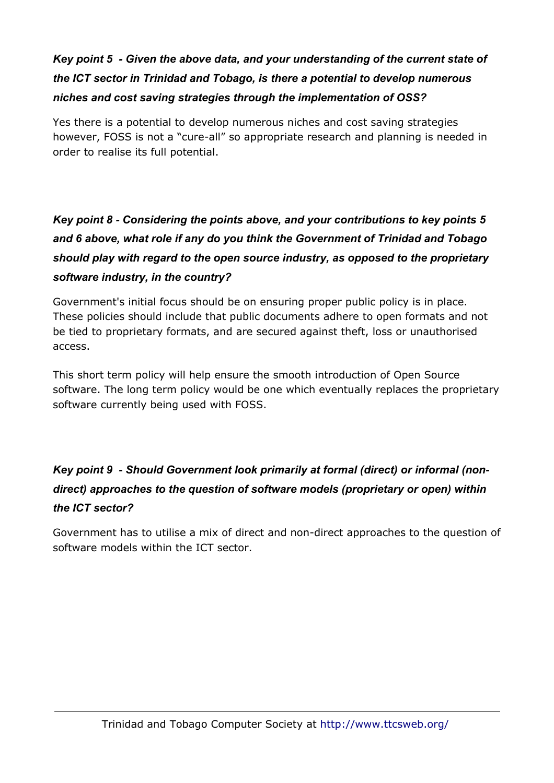## *Key point 5 - Given the above data, and your understanding of the current state of the ICT sector in Trinidad and Tobago, is there a potential to develop numerous niches and cost saving strategies through the implementation of OSS?*

Yes there is a potential to develop numerous niches and cost saving strategies however, FOSS is not a "cure-all" so appropriate research and planning is needed in order to realise its full potential.

## *Key point 8 - Considering the points above, and your contributions to key points 5 and 6 above, what role if any do you think the Government of Trinidad and Tobago should play with regard to the open source industry, as opposed to the proprietary software industry, in the country?*

Government's initial focus should be on ensuring proper public policy is in place. These policies should include that public documents adhere to open formats and not be tied to proprietary formats, and are secured against theft, loss or unauthorised access.

This short term policy will help ensure the smooth introduction of Open Source software. The long term policy would be one which eventually replaces the proprietary software currently being used with FOSS.

## *Key point 9 - Should Government look primarily at formal (direct) or informal (nondirect) approaches to the question of software models (proprietary or open) within the ICT sector?*

Government has to utilise a mix of direct and non-direct approaches to the question of software models within the ICT sector.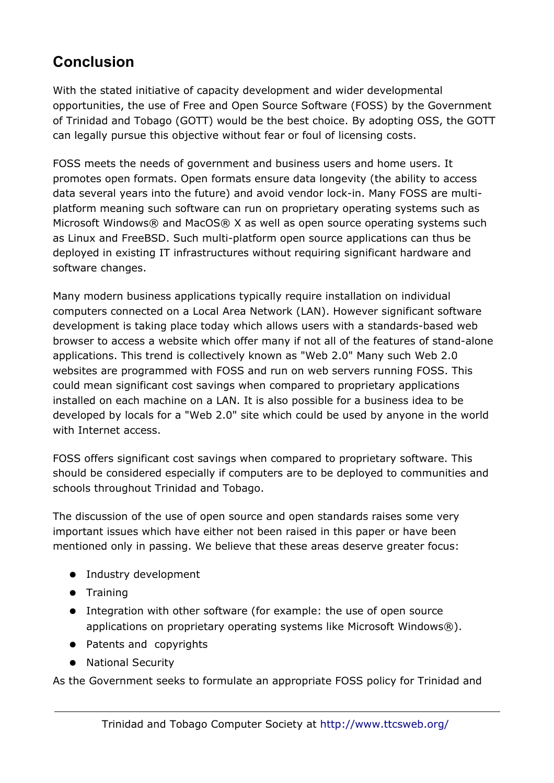# **Conclusion**

With the stated initiative of capacity development and wider developmental opportunities, the use of Free and Open Source Software (FOSS) by the Government of Trinidad and Tobago (GOTT) would be the best choice. By adopting OSS, the GOTT can legally pursue this objective without fear or foul of licensing costs.

FOSS meets the needs of government and business users and home users. It promotes open formats. Open formats ensure data longevity (the ability to access data several years into the future) and avoid vendor lock-in. Many FOSS are multiplatform meaning such software can run on proprietary operating systems such as Microsoft Windows® and MacOS® X as well as open source operating systems such as Linux and FreeBSD. Such multi-platform open source applications can thus be deployed in existing IT infrastructures without requiring significant hardware and software changes.

Many modern business applications typically require installation on individual computers connected on a Local Area Network (LAN). However significant software development is taking place today which allows users with a standards-based web browser to access a website which offer many if not all of the features of stand-alone applications. This trend is collectively known as "Web 2.0" Many such Web 2.0 websites are programmed with FOSS and run on web servers running FOSS. This could mean significant cost savings when compared to proprietary applications installed on each machine on a LAN. It is also possible for a business idea to be developed by locals for a "Web 2.0" site which could be used by anyone in the world with Internet access.

FOSS offers significant cost savings when compared to proprietary software. This should be considered especially if computers are to be deployed to communities and schools throughout Trinidad and Tobago.

The discussion of the use of open source and open standards raises some very important issues which have either not been raised in this paper or have been mentioned only in passing. We believe that these areas deserve greater focus:

- Industry development
- Training
- Integration with other software (for example: the use of open source applications on proprietary operating systems like Microsoft Windows®).
- Patents and copyrights
- National Security

As the Government seeks to formulate an appropriate FOSS policy for Trinidad and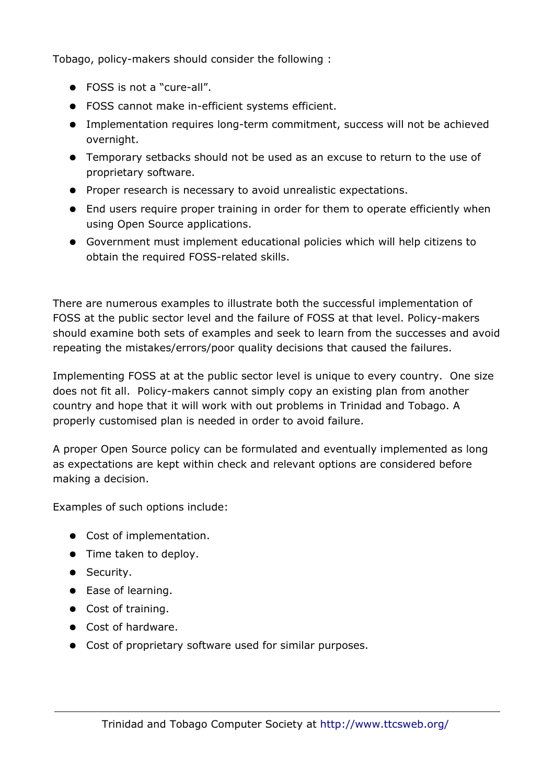Tobago, policy-makers should consider the following :

- FOSS is not a "cure-all".
- FOSS cannot make in-efficient systems efficient.
- Implementation requires long-term commitment, success will not be achieved overnight.
- Temporary setbacks should not be used as an excuse to return to the use of proprietary software.
- Proper research is necessary to avoid unrealistic expectations.
- End users require proper training in order for them to operate efficiently when using Open Source applications.
- Government must implement educational policies which will help citizens to obtain the required FOSS-related skills.

There are numerous examples to illustrate both the successful implementation of FOSS at the public sector level and the failure of FOSS at that level. Policy-makers should examine both sets of examples and seek to learn from the successes and avoid repeating the mistakes/errors/poor quality decisions that caused the failures.

Implementing FOSS at at the public sector level is unique to every country. One size does not fit all. Policy-makers cannot simply copy an existing plan from another country and hope that it will work with out problems in Trinidad and Tobago. A properly customised plan is needed in order to avoid failure.

A proper Open Source policy can be formulated and eventually implemented as long as expectations are kept within check and relevant options are considered before making a decision.

Examples of such options include:

- Cost of implementation.
- Time taken to deploy.
- Security.
- Ease of learning.
- Cost of training.
- Cost of hardware.
- Cost of proprietary software used for similar purposes.